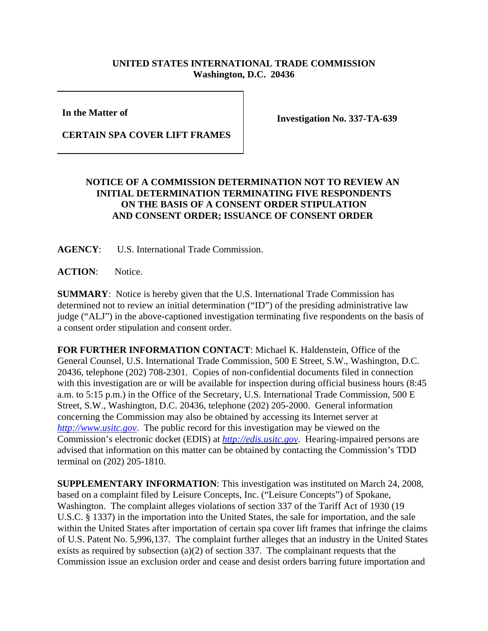## **UNITED STATES INTERNATIONAL TRADE COMMISSION Washington, D.C. 20436**

**In the Matter of** 

**Investigation No. 337-TA-639**

## **CERTAIN SPA COVER LIFT FRAMES**

## **NOTICE OF A COMMISSION DETERMINATION NOT TO REVIEW AN INITIAL DETERMINATION TERMINATING FIVE RESPONDENTS ON THE BASIS OF A CONSENT ORDER STIPULATION AND CONSENT ORDER; ISSUANCE OF CONSENT ORDER**

**AGENCY**: U.S. International Trade Commission.

**ACTION**: Notice.

**SUMMARY**: Notice is hereby given that the U.S. International Trade Commission has determined not to review an initial determination ("ID") of the presiding administrative law judge ("ALJ") in the above-captioned investigation terminating five respondents on the basis of a consent order stipulation and consent order.

**FOR FURTHER INFORMATION CONTACT**: Michael K. Haldenstein, Office of the General Counsel, U.S. International Trade Commission, 500 E Street, S.W., Washington, D.C. 20436, telephone (202) 708-2301. Copies of non-confidential documents filed in connection with this investigation are or will be available for inspection during official business hours (8:45 a.m. to 5:15 p.m.) in the Office of the Secretary, U.S. International Trade Commission, 500 E Street, S.W., Washington, D.C. 20436, telephone (202) 205-2000. General information concerning the Commission may also be obtained by accessing its Internet server at *http://www.usitc.gov*. The public record for this investigation may be viewed on the Commission's electronic docket (EDIS) at *http://edis.usitc.gov*. Hearing-impaired persons are advised that information on this matter can be obtained by contacting the Commission's TDD terminal on (202) 205-1810.

**SUPPLEMENTARY INFORMATION**: This investigation was instituted on March 24, 2008, based on a complaint filed by Leisure Concepts, Inc. ("Leisure Concepts") of Spokane, Washington. The complaint alleges violations of section 337 of the Tariff Act of 1930 (19 U.S.C. § 1337) in the importation into the United States, the sale for importation, and the sale within the United States after importation of certain spa cover lift frames that infringe the claims of U.S. Patent No. 5,996,137. The complaint further alleges that an industry in the United States exists as required by subsection (a)(2) of section 337. The complainant requests that the Commission issue an exclusion order and cease and desist orders barring future importation and